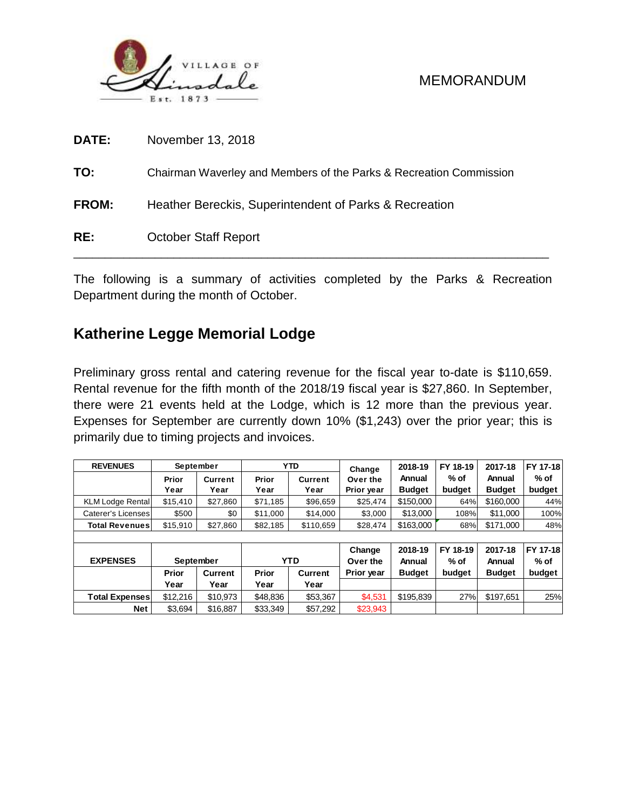

| DATE:        | November 13, 2018                                                  |
|--------------|--------------------------------------------------------------------|
| TO:          | Chairman Waverley and Members of the Parks & Recreation Commission |
| <b>FROM:</b> | Heather Bereckis, Superintendent of Parks & Recreation             |
| RE:          | <b>October Staff Report</b>                                        |

The following is a summary of activities completed by the Parks & Recreation Department during the month of October.

# **Katherine Legge Memorial Lodge**

Preliminary gross rental and catering revenue for the fiscal year to-date is \$110,659. Rental revenue for the fifth month of the 2018/19 fiscal year is \$27,860. In September, there were 21 events held at the Lodge, which is 12 more than the previous year. Expenses for September are currently down 10% (\$1,243) over the prior year; this is primarily due to timing projects and invoices.

| <b>REVENUES</b>         | September |          |          | <b>YTD</b>     | Change                | 2018-19       | FY 18-19 | 2017-18       | FY 17-18 |
|-------------------------|-----------|----------|----------|----------------|-----------------------|---------------|----------|---------------|----------|
|                         | Prior     | Current  | Prior    | <b>Current</b> | Over the              | Annual        | $%$ of   | Annual        | $%$ of   |
|                         | Year      | Year     | Year     | Year           | Prior year            | <b>Budget</b> | budget   | <b>Budget</b> | budget   |
| <b>KLM Lodge Rental</b> | \$15.410  | \$27.860 | \$71,185 | \$96,659       | \$150,000<br>\$25,474 |               | 64%      | \$160,000     | 44%      |
| Caterer's Licenses      | \$500     | \$0      | \$11,000 | \$14,000       | \$3,000               | \$13,000      | 108%     | \$11.000      | 100%     |
| <b>Total Revenues</b>   | \$15,910  | \$27,860 | \$82,185 | \$110,659      | \$28,474              | \$163,000     | 68%      | \$171,000     | 48%      |
|                         |           |          |          |                |                       |               |          |               |          |
|                         |           |          |          |                | Change                | 2018-19       | FY 18-19 | 2017-18       | FY 17-18 |
| <b>EXPENSES</b>         | September |          |          | <b>YTD</b>     | Over the              | Annual        | $%$ of   | Annual        | $%$ of   |
|                         | Prior     | Current  | Prior    | <b>Current</b> | Prior year            | <b>Budget</b> | budget   | <b>Budget</b> | budget   |
|                         | Year      | Year     | Year     | Year           |                       |               |          |               |          |
| <b>Total Expenses</b>   | \$12,216  | \$10,973 | \$48,836 | \$53,367       | \$4,531               | \$195.839     | 27%      | \$197,651     | 25%      |
| <b>Net</b>              | \$3,694   | \$16,887 | \$33,349 | \$57.292       | \$23,943              |               |          |               |          |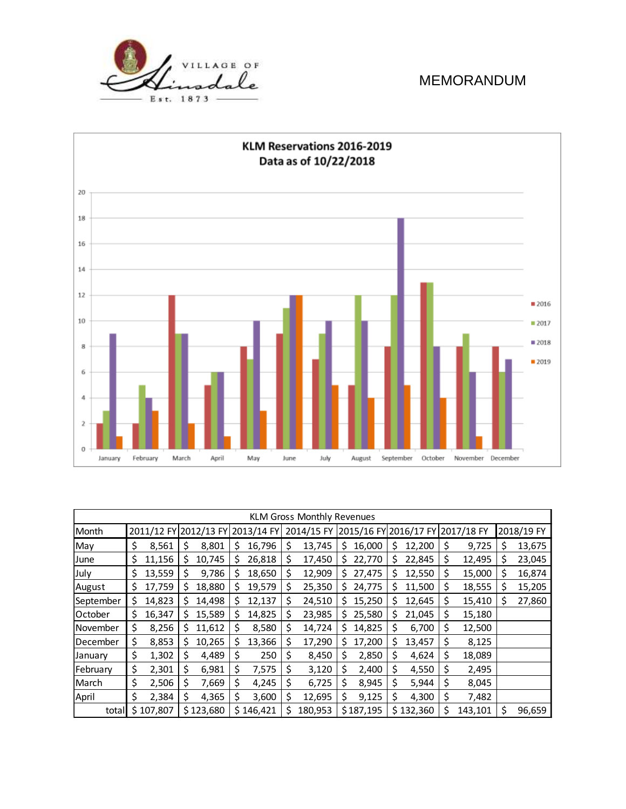



| <b>KLM Gross Monthly Revenues</b> |    |           |                                  |           |    |           |            |         |    |           |                       |           |            |         |            |        |
|-----------------------------------|----|-----------|----------------------------------|-----------|----|-----------|------------|---------|----|-----------|-----------------------|-----------|------------|---------|------------|--------|
| Month                             |    |           | 2011/12 FY 2012/13 FY 2013/14 FY |           |    |           | 2014/15 FY |         |    |           | 2015/16 FY 2016/17 FY |           | 2017/18 FY |         | 2018/19 FY |        |
| May                               | \$ | 8,561     | S                                | 8,801     | S  | 16,796    | S          | 13,745  | S  | 16,000    | S                     | 12,200    | Ş          | 9,725   | S          | 13,675 |
| June                              | \$ | 11,156    | \$                               | 10,745    | \$ | 26,818    | \$         | 17,450  | \$ | 22,770    | Ş                     | 22,845    | \$         | 12,495  | Ş          | 23,045 |
| July                              | \$ | 13,559    | \$                               | 9,786     | S  | 18,650    | \$         | 12,909  | S  | 27,475    | S                     | 12,550    | \$         | 15,000  | S          | 16,874 |
| August                            | \$ | 17,759    | \$                               | 18,880    | S  | 19,579    | \$         | 25,350  | S  | 24,775    | Ş                     | 11,500    | \$         | 18,555  | S          | 15,205 |
| September                         | \$ | 14,823    | Ś                                | 14,498    | S  | 12,137    | \$         | 24,510  | S  | 15,250    | S                     | 12,645    | \$         | 15,410  | S          | 27,860 |
| October                           | \$ | 16,347    | S                                | 15,589    | S  | 14,825    | S          | 23,985  | S  | 25,580    | S                     | 21,045    | \$         | 15,180  |            |        |
| November                          | \$ | 8,256     | S                                | 11,612    | S  | 8,580     | S          | 14,724  | Ś. | 14,825    | Ş                     | 6,700     | \$         | 12,500  |            |        |
| December                          | \$ | 8,853     | S                                | 10,265    | S  | 13,366    | S          | 17,290  | S  | 17,200    | S                     | 13,457    | Ş          | 8,125   |            |        |
| January                           | \$ | 1,302     | Ś                                | 4,489     | S  | 250       | \$         | 8,450   | Ś  | 2,850     | \$                    | 4,624     | \$         | 18,089  |            |        |
| February                          | \$ | 2,301     | \$                               | 6,981     | \$ | 7,575     | \$         | 3,120   | \$ | 2,400     | \$                    | 4,550     | \$         | 2,495   |            |        |
| March                             | \$ | 2,506     | \$                               | 7,669     | \$ | 4,245     | \$         | 6,725   | Ś  | 8,945     | \$                    | 5,944     | \$         | 8,045   |            |        |
| April                             | \$ | 2,384     | \$                               | 4,365     | \$ | 3,600     | \$         | 12,695  | \$ | 9,125     | \$                    | 4,300     | \$         | 7,482   |            |        |
| total                             |    | \$107,807 |                                  | \$123,680 |    | \$146,421 | Ŝ          | 180,953 |    | \$187,195 |                       | \$132,360 | \$         | 143,101 | Ś          | 96,659 |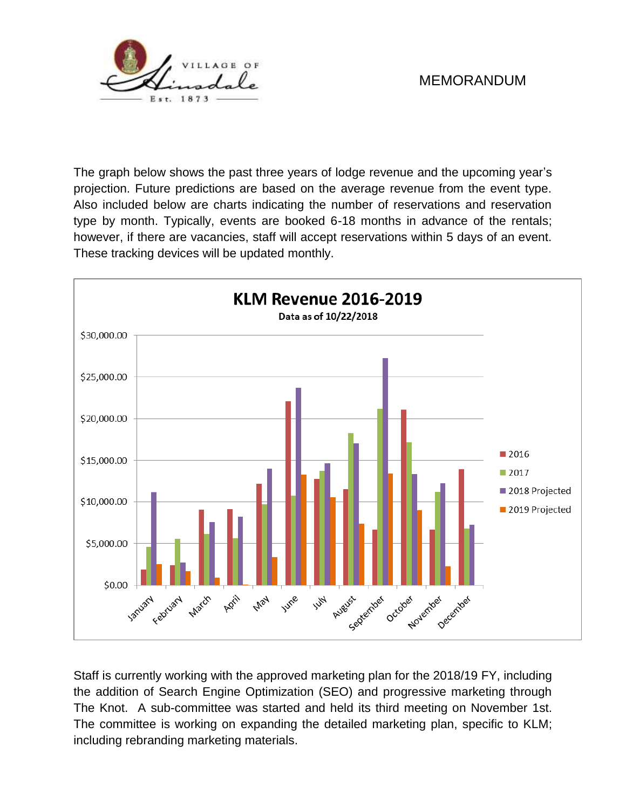

The graph below shows the past three years of lodge revenue and the upcoming year's projection. Future predictions are based on the average revenue from the event type. Also included below are charts indicating the number of reservations and reservation type by month. Typically, events are booked 6-18 months in advance of the rentals; however, if there are vacancies, staff will accept reservations within 5 days of an event. These tracking devices will be updated monthly.



Staff is currently working with the approved marketing plan for the 2018/19 FY, including the addition of Search Engine Optimization (SEO) and progressive marketing through The Knot. A sub-committee was started and held its third meeting on November 1st. The committee is working on expanding the detailed marketing plan, specific to KLM; including rebranding marketing materials.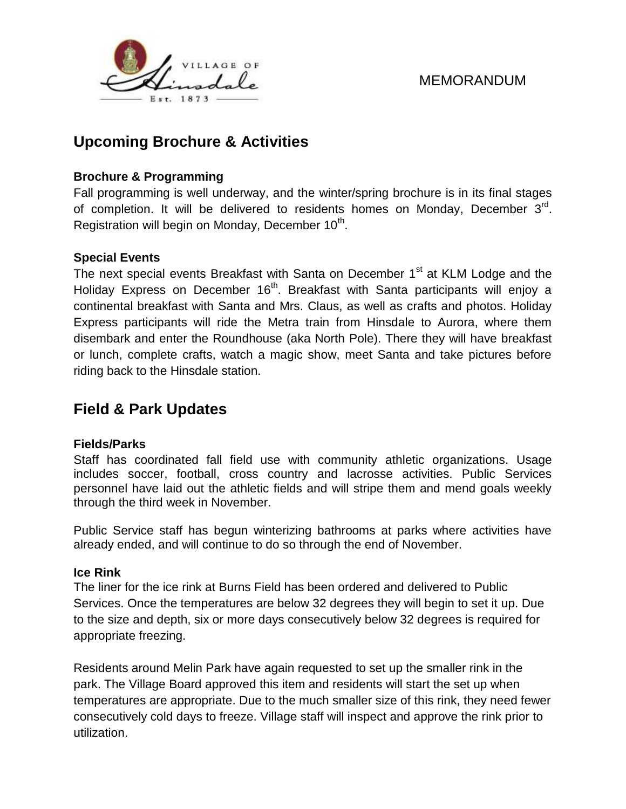

# **Upcoming Brochure & Activities**

### **Brochure & Programming**

Fall programming is well underway, and the winter/spring brochure is in its final stages of completion. It will be delivered to residents homes on Monday, December 3<sup>rd</sup>. Registration will begin on Monday, December 10<sup>th</sup>.

### **Special Events**

The next special events Breakfast with Santa on December 1<sup>st</sup> at KLM Lodge and the Holiday Express on December 16<sup>th</sup>. Breakfast with Santa participants will enjoy a continental breakfast with Santa and Mrs. Claus, as well as crafts and photos. Holiday Express participants will ride the Metra train from Hinsdale to Aurora, where them disembark and enter the Roundhouse (aka North Pole). There they will have breakfast or lunch, complete crafts, watch a magic show, meet Santa and take pictures before riding back to the Hinsdale station.

# **Field & Park Updates**

### **Fields/Parks**

Staff has coordinated fall field use with community athletic organizations. Usage includes soccer, football, cross country and lacrosse activities. Public Services personnel have laid out the athletic fields and will stripe them and mend goals weekly through the third week in November.

Public Service staff has begun winterizing bathrooms at parks where activities have already ended, and will continue to do so through the end of November.

### **Ice Rink**

The liner for the ice rink at Burns Field has been ordered and delivered to Public Services. Once the temperatures are below 32 degrees they will begin to set it up. Due to the size and depth, six or more days consecutively below 32 degrees is required for appropriate freezing.

Residents around Melin Park have again requested to set up the smaller rink in the park. The Village Board approved this item and residents will start the set up when temperatures are appropriate. Due to the much smaller size of this rink, they need fewer consecutively cold days to freeze. Village staff will inspect and approve the rink prior to utilization.